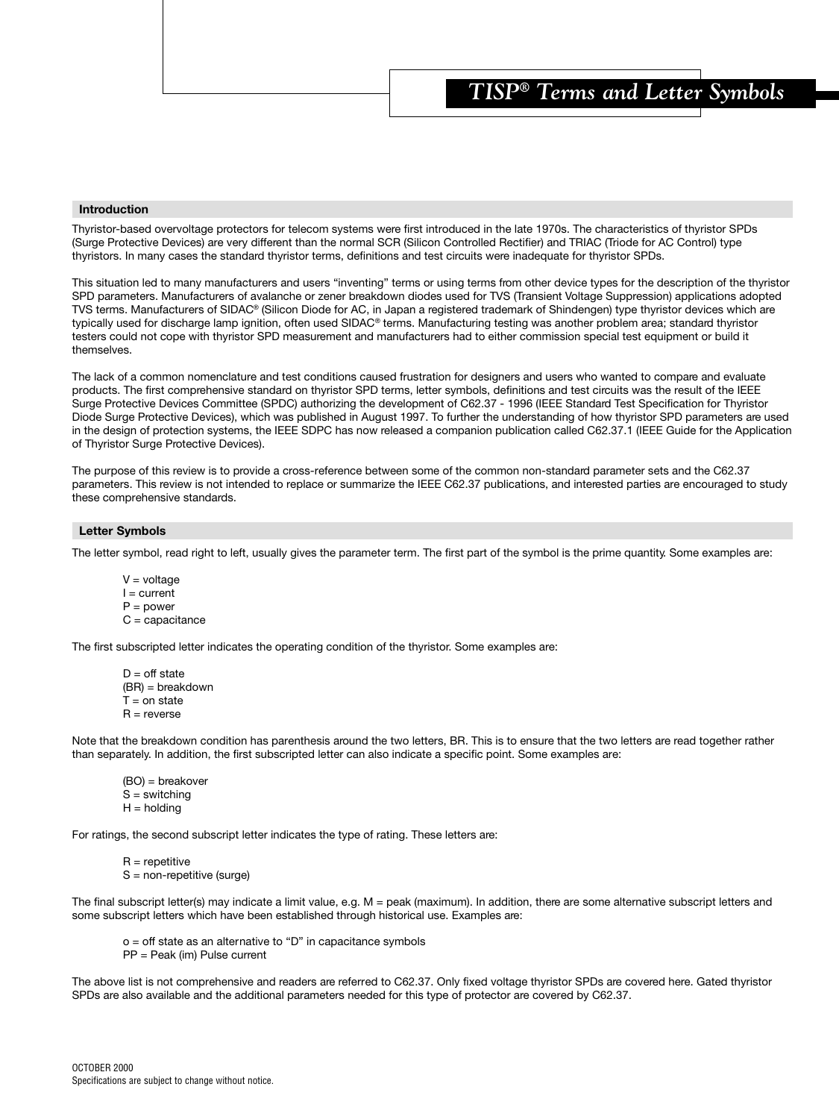#### **Introduction**

Thyristor-based overvoltage protectors for telecom systems were first introduced in the late 1970s. The characteristics of thyristor SPDs (Surge Protective Devices) are very different than the normal SCR (Silicon Controlled Rectifier) and TRIAC (Triode for AC Control) type thyristors. In many cases the standard thyristor terms, definitions and test circuits were inadequate for thyristor SPDs.

This situation led to many manufacturers and users "inventing" terms or using terms from other device types for the description of the thyristor SPD parameters. Manufacturers of avalanche or zener breakdown diodes used for TVS (Transient Voltage Suppression) applications adopted TVS terms. Manufacturers of SIDAC® (Silicon Diode for AC, in Japan a registered trademark of Shindengen) type thyristor devices which are typically used for discharge lamp ignition, often used SIDAC® terms. Manufacturing testing was another problem area; standard thyristor testers could not cope with thyristor SPD measurement and manufacturers had to either commission special test equipment or build it themselves.

The lack of a common nomenclature and test conditions caused frustration for designers and users who wanted to compare and evaluate products. The first comprehensive standard on thyristor SPD terms, letter symbols, definitions and test circuits was the result of the IEEE Surge Protective Devices Committee (SPDC) authorizing the development of C62.37 - 1996 (IEEE Standard Test Specification for Thyristor Diode Surge Protective Devices), which was published in August 1997. To further the understanding of how thyristor SPD parameters are used in the design of protection systems, the IEEE SDPC has now released a companion publication called C62.37.1 (IEEE Guide for the Application of Thyristor Surge Protective Devices).

The purpose of this review is to provide a cross-reference between some of the common non-standard parameter sets and the C62.37 parameters. This review is not intended to replace or summarize the IEEE C62.37 publications, and interested parties are encouraged to study these comprehensive standards.

#### **Letter Symbols**

The letter symbol, read right to left, usually gives the parameter term. The first part of the symbol is the prime quantity. Some examples are:

 $V =$  voltage  $I = current$  $P = power$  $C =$  capacitance

The first subscripted letter indicates the operating condition of the thyristor. Some examples are:

 $D = \text{off state}$ (BR) = breakdown  $T =$  on state  $R =$  reverse

Note that the breakdown condition has parenthesis around the two letters, BR. This is to ensure that the two letters are read together rather than separately. In addition, the first subscripted letter can also indicate a specific point. Some examples are:

(BO) = breakover S = switching  $H =$  holding

For ratings, the second subscript letter indicates the type of rating. These letters are:

 $R =$  repetitive S = non-repetitive (surge)

The final subscript letter(s) may indicate a limit value, e.g. M = peak (maximum). In addition, there are some alternative subscript letters and some subscript letters which have been established through historical use. Examples are:

o = off state as an alternative to "D" in capacitance symbols PP = Peak (im) Pulse current

The above list is not comprehensive and readers are referred to C62.37. Only fixed voltage thyristor SPDs are covered here. Gated thyristor SPDs are also available and the additional parameters needed for this type of protector are covered by C62.37.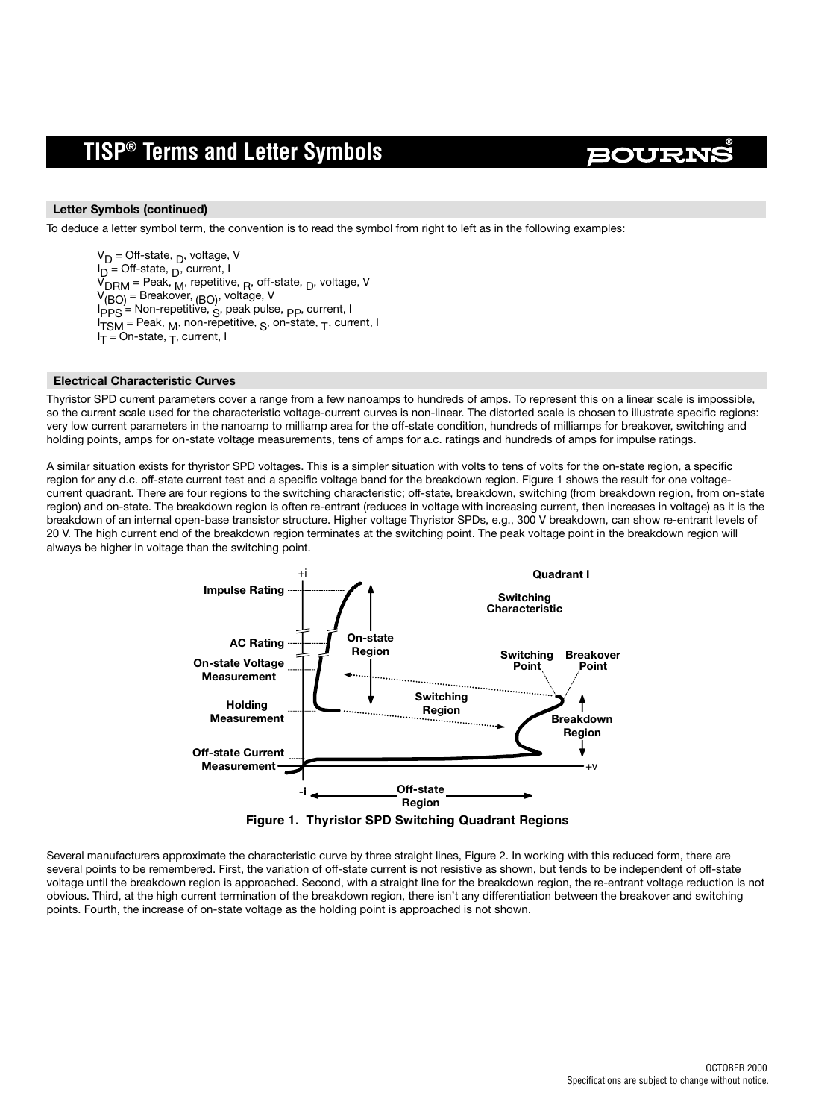# BOURD

### **Letter Symbols (continued)**

To deduce a letter symbol term, the convention is to read the symbol from right to left as in the following examples:

V<sub>D</sub> = Off-state, <sub>D</sub>, voltage, V l<sub>D</sub> = Off-state, <sub>D</sub>, current, I  $\rm V_{DRM}$  = Peak,  $\rm_M$ , repetitive,  $\rm_R$ , off-state,  $\rm_D$ , voltage, V V<sub>(BO)</sub> = Breakover, <sub>(BO)</sub>, voltage, V<br>!pp<sub>S</sub> = Non-repetitive, <sub>S</sub>, peak pulse, <sub>PP</sub>, current, I I TSM = Peak, M, non-repetitive, S, on-state, T, current, I I T = On-state, T, current, I

#### **Electrical Characteristic Curves**

Thyristor SPD current parameters cover a range from a few nanoamps to hundreds of amps. To represent this on a linear scale is impossible, so the current scale used for the characteristic voltage-current curves is non-linear. The distorted scale is chosen to illustrate specific regions: very low current parameters in the nanoamp to milliamp area for the off-state condition, hundreds of milliamps for breakover, switching and holding points, amps for on-state voltage measurements, tens of amps for a.c. ratings and hundreds of amps for impulse ratings.

A similar situation exists for thyristor SPD voltages. This is a simpler situation with volts to tens of volts for the on-state region, a specific region for any d.c. off-state current test and a specific voltage band for the breakdown region. Figure 1 shows the result for one voltagecurrent quadrant. There are four regions to the switching characteristic; off-state, breakdown, switching (from breakdown region, from on-state region) and on-state. The breakdown region is often re-entrant (reduces in voltage with increasing current, then increases in voltage) as it is the breakdown of an internal open-base transistor structure. Higher voltage Thyristor SPDs, e.g., 300 V breakdown, can show re-entrant levels of 20 V. The high current end of the breakdown region terminates at the switching point. The peak voltage point in the breakdown region will always be higher in voltage than the switching point.



**Figure 1. Thyristor SPD Switching Quadrant Regions**

Several manufacturers approximate the characteristic curve by three straight lines, Figure 2. In working with this reduced form, there are several points to be remembered. First, the variation of off-state current is not resistive as shown, but tends to be independent of off-state voltage until the breakdown region is approached. Second, with a straight line for the breakdown region, the re-entrant voltage reduction is not obvious. Third, at the high current termination of the breakdown region, there isn't any differentiation between the breakover and switching points. Fourth, the increase of on-state voltage as the holding point is approached is not shown.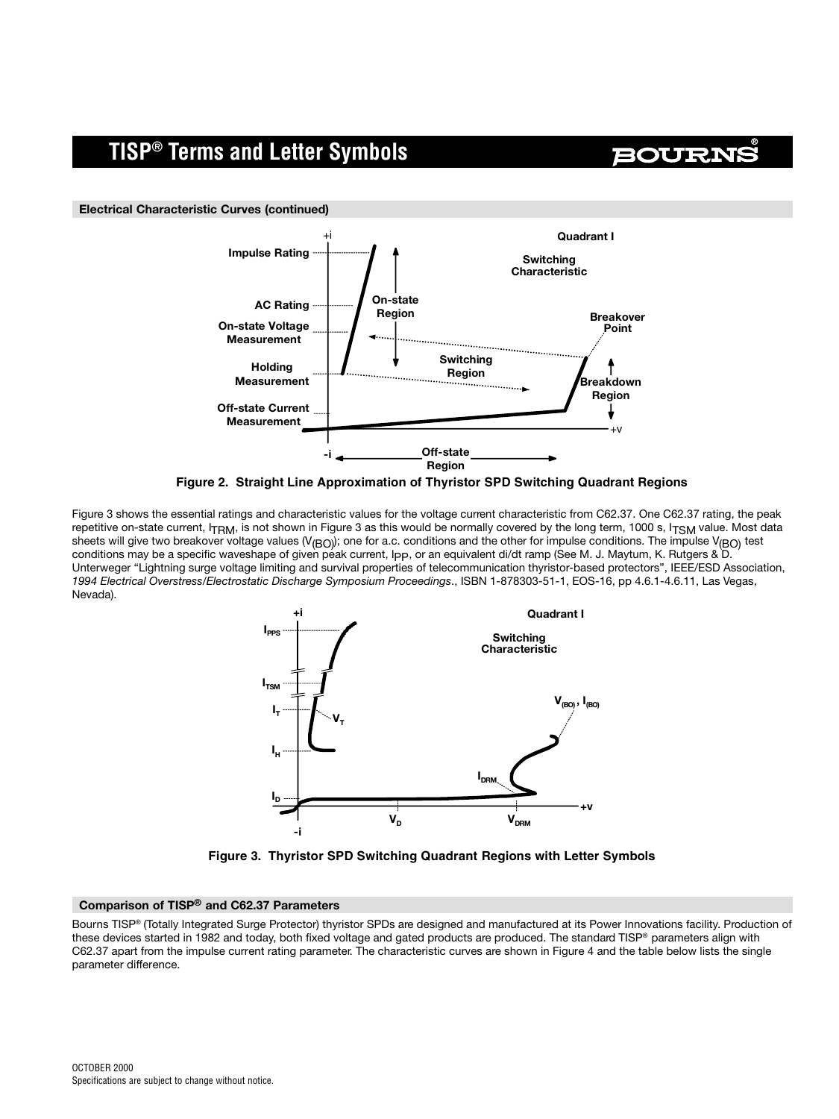## BOURN

**Electrical Characteristic Curves (continued)**



**Figure 2. Straight Line Approximation of Thyristor SPD Switching Quadrant Regions**

Figure 3 shows the essential ratings and characteristic values for the voltage current characteristic from C62.37. One C62.37 rating, the peak repetitive on-state current, ITRM, is not shown in Figure 3 as this would be normally covered by the long term, 1000 s, ITSM value. Most data sheets will give two breakover voltage values ( $V_{(BO)}$ ); one for a.c. conditions and the other for impulse conditions. The impulse  $V_{(BO)}$  test conditions may be a specific waveshape of given peak current, I<sub>PP</sub>, or an equivalent di/dt ramp (See M. J. Maytum, K. Rutgers & D. Unterweger "Lightning surge voltage limiting and survival properties of telecommunication thyristor-based protectors", IEEE/ESD Association, *1994 Electrical Overstress/Electrostatic Discharge Symposium Proceedings*., ISBN 1-878303-51-1, EOS-16, pp 4.6.1-4.6.11, Las Vegas, Nevada).



**Figure 3. Thyristor SPD Switching Quadrant Regions with Letter Symbols**

## **Comparison of TISP® and C62.37 Parameters**

Bourns TISP® (Totally Integrated Surge Protector) thyristor SPDs are designed and manufactured at its Power Innovations facility. Production of these devices started in 1982 and today, both fixed voltage and gated products are produced. The standard TISP® parameters align with C62.37 apart from the impulse current rating parameter. The characteristic curves are shown in Figure 4 and the table below lists the single parameter difference.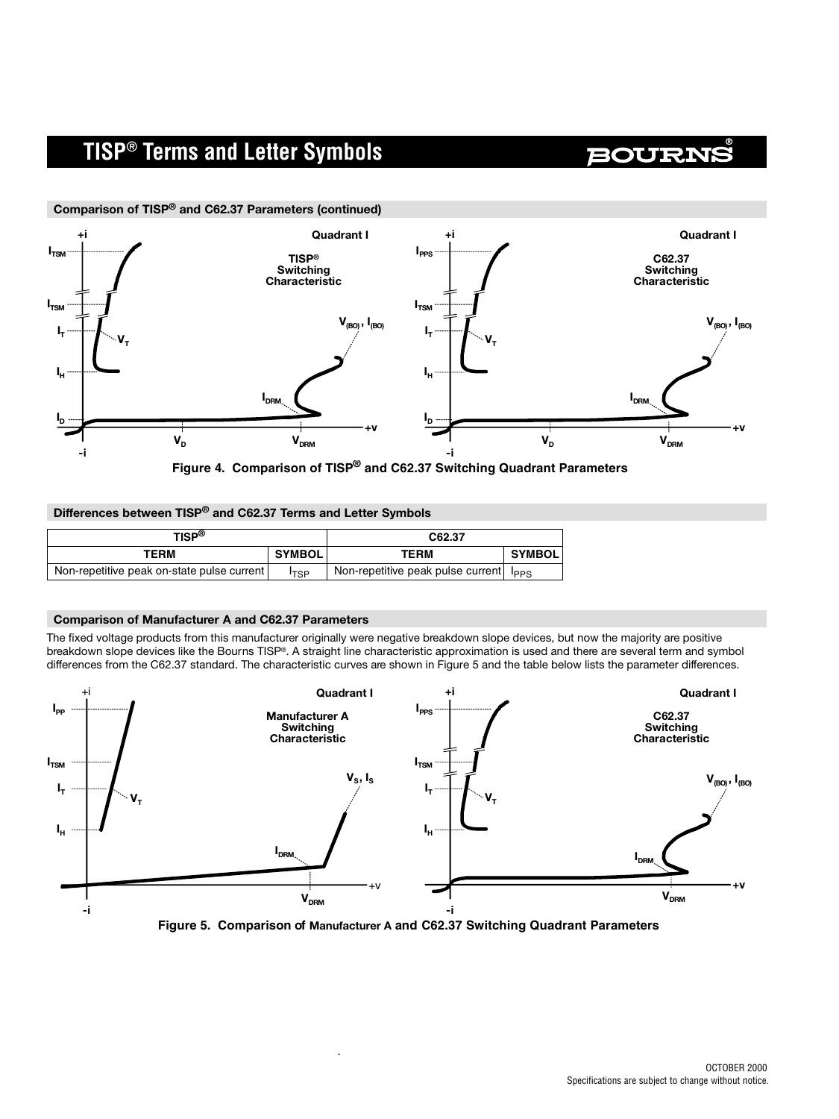**BOURN** 



**Figure 4. Comparison of TISP® and C62.37 Switching Quadrant Parameters**

## **Differences between TISP® and C62.37 Terms and Letter Symbols**

| TISP $^\circledR$                          | C62.37           |                                   |               |
|--------------------------------------------|------------------|-----------------------------------|---------------|
| TERM                                       | <b>SYMBOL</b>    | TERM                              | <b>SYMBOL</b> |
| Non-repetitive peak on-state pulse current | <sup>I</sup> TSP | Non-repetitive peak pulse current | <b>PPS</b>    |

### **Comparison of Manufacturer A and C62.37 Parameters**

The fixed voltage products from this manufacturer originally were negative breakdown slope devices, but now the majority are positive breakdown slope devices like the Bourns TISP®. A straight line characteristic approximation is used and there are several term and symbol differences from the C62.37 standard. The characteristic curves are shown in Figure 5 and the table below lists the parameter differences.



**Figure 5. Comparison of Manufacturer A and C62.37 Switching Quadrant Parameters**

.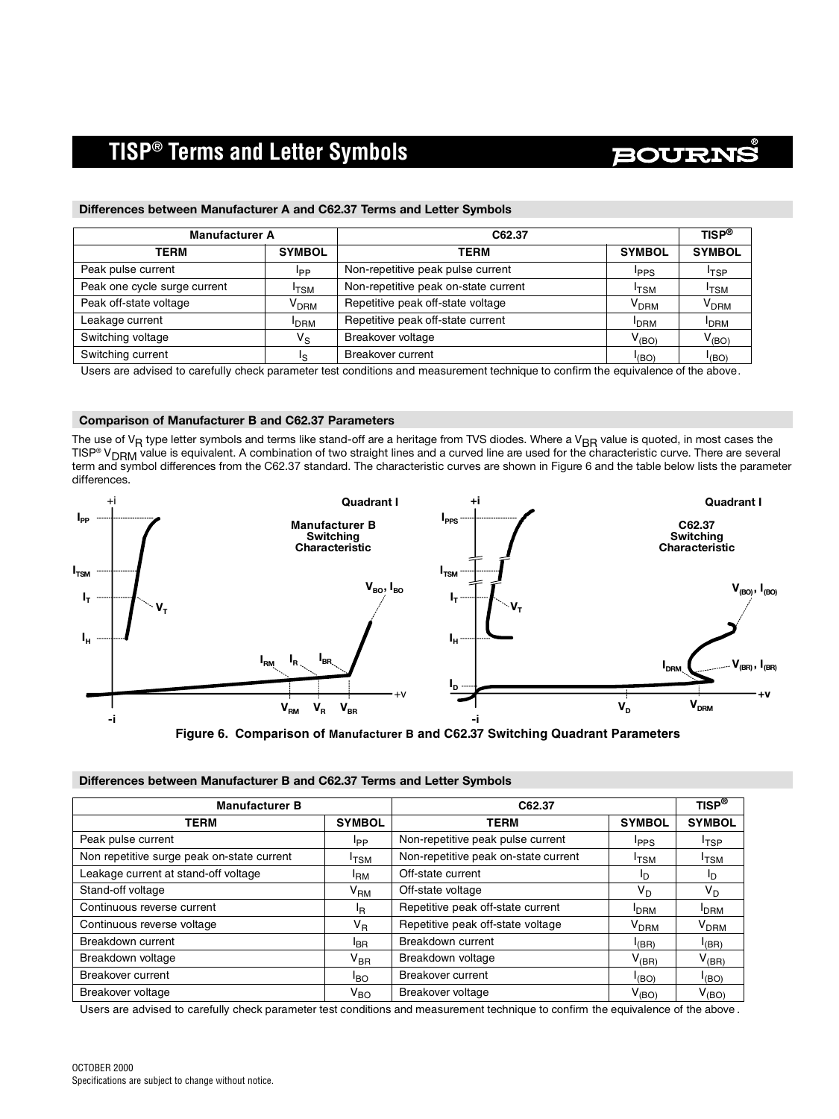## BOURN

| <b>Manufacturer A</b>        |                  | C62.37                               | $TISP^{\circledR}$        |                   |
|------------------------------|------------------|--------------------------------------|---------------------------|-------------------|
| <b>TERM</b>                  | <b>SYMBOL</b>    | <b>TERM</b>                          | <b>SYMBOL</b>             | <b>SYMBOL</b>     |
| Peak pulse current           | Ipp              | Non-repetitive peak pulse current    | <b>PPS</b>                | <sup>I</sup> TSP  |
| Peak one cycle surge current | <sup>I</sup> TSM | Non-repetitive peak on-state current | <sup>I</sup> TSM          | <sup>I</sup> TSM  |
| Peak off-state voltage       | V <sub>DRM</sub> | Repetitive peak off-state voltage    | $\mathsf{v}_\mathsf{DRM}$ | V <sub>DRM</sub>  |
| Leakage current              | <b>PDRM</b>      | Repetitive peak off-state current    | 'DRM                      | <b>PDRM</b>       |
| Switching voltage            | $V_{\rm S}$      | Breakover voltage                    | $V_{(BO)}$                | $V_{(BO)}$        |
| Switching current            | ۾ا               | Breakover current                    | (BO)                      | <sup>I</sup> (BO) |

### **Differences between Manufacturer A and C62.37 Terms and Letter Symbols**

Users are advised to carefully check parameter test conditions and measurement technique to confirm the equivalence of the above.

### **Comparison of Manufacturer B and C62.37 Parameters**

The use of V<sub>R</sub> type letter symbols and terms like stand-off are a heritage from TVS diodes. Where a V<sub>BR</sub> value is quoted, in most cases the TISP® V<sub>DRM</sub> value is equivalent. A combination of two straight lines and a curved line are used for the characteristic curve. There are several term and symbol differences from the C62.37 standard. The characteristic curves are shown in Figure 6 and the table below lists the parameter differences.



**Figure 6. Comparison of Manufacturer B and C62.37 Switching Quadrant Parameters**

### **Differences between Manufacturer B and C62.37 Terms and Letter Symbols**

| <b>Manufacturer B</b>                      |                  | C62.37                               |                        | $TISP^{\circledR}$     |
|--------------------------------------------|------------------|--------------------------------------|------------------------|------------------------|
| <b>TERM</b>                                | <b>SYMBOL</b>    | <b>TERM</b>                          | <b>SYMBOL</b>          | <b>SYMBOL</b>          |
| Peak pulse current                         | Ipp              | Non-repetitive peak pulse current    | <b>IPPS</b>            | I <sub>TSP</sub>       |
| Non repetitive surge peak on-state current | <sup>I</sup> TSM | Non-repetitive peak on-state current | <sup>I</sup> TSM       | <sup>I</sup> TSM       |
| Leakage current at stand-off voltage       | <sup>I</sup> BM  | Off-state current                    | םי                     | םי                     |
| Stand-off voltage                          | V <sub>RM</sub>  | Off-state voltage                    | V <sub>D</sub>         | V <sub>D</sub>         |
| Continuous reverse current                 | ΙŖ               | Repetitive peak off-state current    | <b>IDRM</b>            | <b>PDRM</b>            |
| Continuous reverse voltage                 | V <sub>R</sub>   | Repetitive peak off-state voltage    | <b>V<sub>DRM</sub></b> | <b>V<sub>DRM</sub></b> |
| Breakdown current                          | <sup>I</sup> BR  | Breakdown current                    | I(BR)                  | I(BR)                  |
| Breakdown voltage                          | $V_{\sf BR}$     | Breakdown voltage                    | $V_{(BR)}$             | $V_{(BR)}$             |
| Breakover current                          | <sup>I</sup> BO  | Breakover current                    | I(BO)                  | I <sub>(BO)</sub>      |
| Breakover voltage                          | V <sub>BO</sub>  | Breakover voltage                    | $V_{(BO)}$             | $V_{(BO)}$             |

Users are advised to carefully check parameter test conditions and measurement technique to confirm the equivalence of the above .